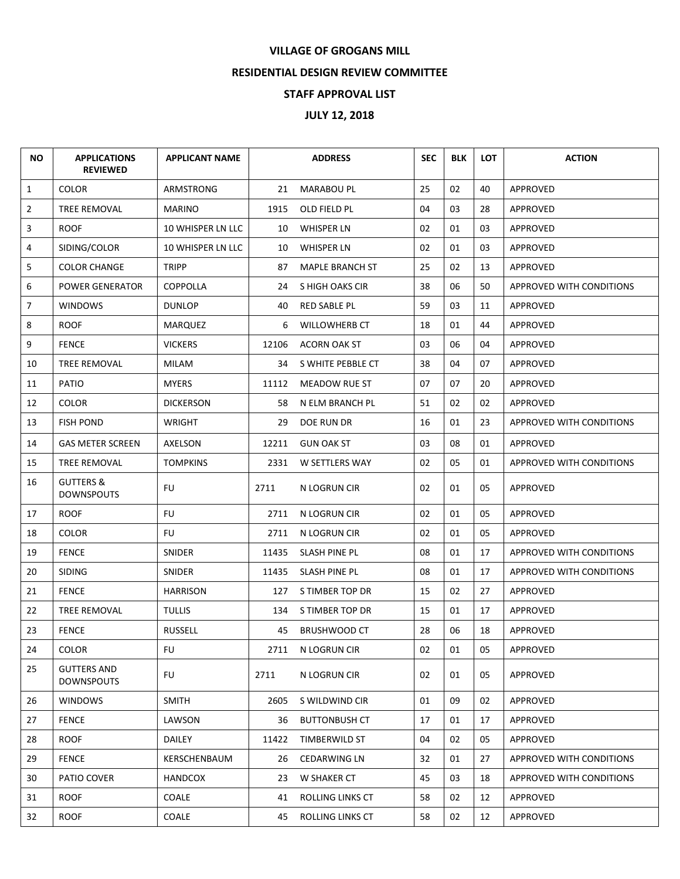## **VILLAGE OF GROGANS MILL**

## **RESIDENTIAL DESIGN REVIEW COMMITTEE**

## **STAFF APPROVAL LIST**

## **JULY 12, 2018**

| <b>NO</b>      | <b>APPLICATIONS</b><br><b>REVIEWED</b>    | <b>APPLICANT NAME</b> |       | <b>ADDRESS</b>       | <b>SEC</b> | <b>BLK</b> | <b>LOT</b> | <b>ACTION</b>            |
|----------------|-------------------------------------------|-----------------------|-------|----------------------|------------|------------|------------|--------------------------|
| $\mathbf{1}$   | <b>COLOR</b>                              | ARMSTRONG             | 21    | <b>MARABOU PL</b>    | 25         | 02         | 40         | <b>APPROVED</b>          |
| $\overline{2}$ | TREE REMOVAL                              | <b>MARINO</b>         | 1915  | OLD FIELD PL         | 04         | 03         | 28         | <b>APPROVED</b>          |
| 3              | <b>ROOF</b>                               | 10 WHISPER LN LLC     | 10    | WHISPER LN           | 02         | 01         | 03         | APPROVED                 |
| 4              | SIDING/COLOR                              | 10 WHISPER LN LLC     | 10    | <b>WHISPER LN</b>    | 02         | 01         | 03         | APPROVED                 |
| 5              | <b>COLOR CHANGE</b>                       | <b>TRIPP</b>          | 87    | MAPLE BRANCH ST      | 25         | 02         | 13         | APPROVED                 |
| 6              | <b>POWER GENERATOR</b>                    | <b>COPPOLLA</b>       | 24    | S HIGH OAKS CIR      | 38         | 06         | 50         | APPROVED WITH CONDITIONS |
| $\overline{7}$ | <b>WINDOWS</b>                            | DUNLOP                | 40    | RED SABLE PL         | 59         | 03         | 11         | APPROVED                 |
| 8              | <b>ROOF</b>                               | <b>MARQUEZ</b>        | 6     | <b>WILLOWHERB CT</b> | 18         | 01         | 44         | APPROVED                 |
| 9              | <b>FENCE</b>                              | <b>VICKERS</b>        | 12106 | <b>ACORN OAK ST</b>  | 03         | 06         | 04         | APPROVED                 |
| 10             | TREE REMOVAL                              | MILAM                 | 34    | S WHITE PEBBLE CT    | 38         | 04         | 07         | APPROVED                 |
| 11             | PATIO                                     | <b>MYERS</b>          | 11112 | MEADOW RUE ST        | 07         | 07         | 20         | APPROVED                 |
| 12             | <b>COLOR</b>                              | DICKERSON             | 58    | N ELM BRANCH PL      | 51         | 02         | 02         | APPROVED                 |
| 13             | <b>FISH POND</b>                          | WRIGHT                | 29    | DOE RUN DR           | 16         | 01         | 23         | APPROVED WITH CONDITIONS |
| 14             | <b>GAS METER SCREEN</b>                   | AXELSON               | 12211 | <b>GUN OAK ST</b>    | 03         | 08         | 01         | <b>APPROVED</b>          |
| 15             | <b>TREE REMOVAL</b>                       | <b>TOMPKINS</b>       | 2331  | W SETTLERS WAY       | 02         | 05         | 01         | APPROVED WITH CONDITIONS |
| 16             | <b>GUTTERS &amp;</b><br><b>DOWNSPOUTS</b> | FU.                   | 2711  | N LOGRUN CIR         | 02         | 01         | 05         | APPROVED                 |
| 17             | <b>ROOF</b>                               | FU                    | 2711  | N LOGRUN CIR         | 02         | 01         | 05         | APPROVED                 |
| 18             | <b>COLOR</b>                              | FU                    | 2711  | N LOGRUN CIR         | 02         | 01         | 05         | APPROVED                 |
| 19             | <b>FENCE</b>                              | SNIDER                | 11435 | SLASH PINE PL        | 08         | 01         | 17         | APPROVED WITH CONDITIONS |
| 20             | <b>SIDING</b>                             | SNIDER                | 11435 | SLASH PINE PL        | 08         | 01         | 17         | APPROVED WITH CONDITIONS |
| 21             | <b>FENCE</b>                              | <b>HARRISON</b>       | 127   | S TIMBER TOP DR      | 15         | 02         | 27         | <b>APPROVED</b>          |
| 22             | TREE REMOVAL                              | <b>TULLIS</b>         | 134   | S TIMBER TOP DR      | 15         | 01         | 17         | APPROVED                 |
| 23             | <b>FENCE</b>                              | RUSSELL               | 45    | <b>BRUSHWOOD CT</b>  | 28         | 06         | 18         | <b>APPROVED</b>          |
| 24             | <b>COLOR</b>                              | <b>FU</b>             | 2711  | N LOGRUN CIR         | 02         | 01         | 05         | APPROVED                 |
| 25             | <b>GUTTERS AND</b><br><b>DOWNSPOUTS</b>   | <b>FU</b>             | 2711  | N LOGRUN CIR         | 02         | 01         | 05         | APPROVED                 |
| 26             | <b>WINDOWS</b>                            | <b>SMITH</b>          | 2605  | S WILDWIND CIR       | 01         | 09         | 02         | APPROVED                 |
| 27             | <b>FENCE</b>                              | LAWSON                | 36    | <b>BUTTONBUSH CT</b> | 17         | 01         | 17         | APPROVED                 |
| 28             | <b>ROOF</b>                               | DAILEY                | 11422 | TIMBERWILD ST        | 04         | 02         | 05         | APPROVED                 |
| 29             | <b>FENCE</b>                              | KERSCHENBAUM          | 26    | <b>CEDARWING LN</b>  | 32         | 01         | 27         | APPROVED WITH CONDITIONS |
| 30             | PATIO COVER                               | <b>HANDCOX</b>        | 23    | W SHAKER CT          | 45         | 03         | 18         | APPROVED WITH CONDITIONS |
| 31             | <b>ROOF</b>                               | COALE                 | 41    | ROLLING LINKS CT     | 58         | 02         | 12         | APPROVED                 |
| 32             | <b>ROOF</b>                               | COALE                 | 45    | ROLLING LINKS CT     | 58         | 02         | 12         | APPROVED                 |